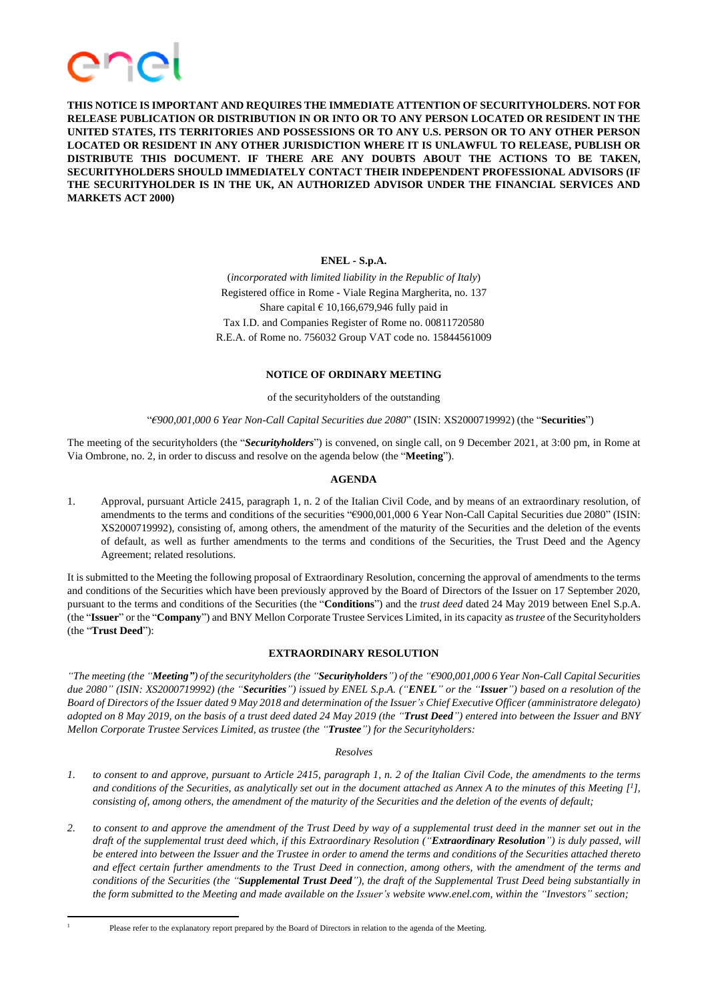

**THIS NOTICE IS IMPORTANT AND REQUIRES THE IMMEDIATE ATTENTION OF SECURITYHOLDERS. NOT FOR RELEASE PUBLICATION OR DISTRIBUTION IN OR INTO OR TO ANY PERSON LOCATED OR RESIDENT IN THE UNITED STATES, ITS TERRITORIES AND POSSESSIONS OR TO ANY U.S. PERSON OR TO ANY OTHER PERSON LOCATED OR RESIDENT IN ANY OTHER JURISDICTION WHERE IT IS UNLAWFUL TO RELEASE, PUBLISH OR DISTRIBUTE THIS DOCUMENT. IF THERE ARE ANY DOUBTS ABOUT THE ACTIONS TO BE TAKEN, SECURITYHOLDERS SHOULD IMMEDIATELY CONTACT THEIR INDEPENDENT PROFESSIONAL ADVISORS (IF THE SECURITYHOLDER IS IN THE UK, AN AUTHORIZED ADVISOR UNDER THE FINANCIAL SERVICES AND MARKETS ACT 2000)**

# **ENEL - S.p.A.**

(*incorporated with limited liability in the Republic of Italy*) Registered office in Rome - Viale Regina Margherita, no. 137 Share capital  $\in$  10,166,679,946 fully paid in Tax I.D. and Companies Register of Rome no. 00811720580 R.E.A. of Rome no. 756032 Group VAT code no. 15844561009

# **NOTICE OF ORDINARY MEETING**

of the securityholders of the outstanding

"*€900,001,000 6 Year Non-Call Capital Securities due 2080*" (ISIN: XS2000719992) (the "**Securities**")

The meeting of the securityholders (the "*Securityholders*") is convened, on single call, on 9 December 2021, at 3:00 pm, in Rome at Via Ombrone, no. 2, in order to discuss and resolve on the agenda below (the "**Meeting**").

# **AGENDA**

1. Approval, pursuant Article 2415, paragraph 1, n. 2 of the Italian Civil Code, and by means of an extraordinary resolution, of amendments to the terms and conditions of the securities "€900,001,000 6 Year Non-Call Capital Securities due 2080" (ISIN: XS2000719992), consisting of, among others, the amendment of the maturity of the Securities and the deletion of the events of default, as well as further amendments to the terms and conditions of the Securities, the Trust Deed and the Agency Agreement; related resolutions.

It is submitted to the Meeting the following proposal of Extraordinary Resolution, concerning the approval of amendments to the terms and conditions of the Securities which have been previously approved by the Board of Directors of the Issuer on 17 September 2020, pursuant to the terms and conditions of the Securities (the "**Conditions**") and the *trust deed* dated 24 May 2019 between Enel S.p.A. (the "**Issuer**" or the "**Company**") and BNY Mellon Corporate Trustee Services Limited, in its capacity as *trustee* of the Securityholders (the "**Trust Deed**"):

# **EXTRAORDINARY RESOLUTION**

"The meeting (the "**Meeting"**) of the securityholders (the "Securityholders") of the "£900,001,000 6 Year Non-Call Capital Securities due 2080" (ISIN: XS2000719992) (the "Securities") issued by ENEL S.p.A. ("ENEL" or the "Issuer") based on a resolution of the Board of Directors of the Issuer dated 9 May 2018 and determination of the Issuer's Chief Executive Officer (amministratore delegato) adopted on 8 May 2019, on the basis of a trust deed dated 24 May 2019 (the "Trust Deed") entered into between the Issuer and BNY *Mellon Corporate Trustee Services Limited, as trustee (the "Trustee") for the Securityholders:*

# *Resolves*

- 1. to consent to and approve, pursuant to Article 2415, paragraph 1, n. 2 of the Italian Civil Code, the amendments to the terms and conditions of the Securities, as analytically set out in the document attached as Annex A to the minutes of this Meeting  $[1]$ , consisting of, among others, the amendment of the maturity of the Securities and the deletion of the events of default;
- 2. to consent to and approve the amendment of the Trust Deed by way of a supplemental trust deed in the manner set out in the draft of the supplemental trust deed which, if this Extraordinary Resolution ("Extraordinary Resolution") is duly passed, will be entered into between the Issuer and the Trustee in order to amend the terms and conditions of the Securities attached thereto and effect certain further amendments to the Trust Deed in connection, among others, with the amendment of the terms and conditions of the Securities (the "Supplemental Trust Deed"), the draft of the Supplemental Trust Deed being substantially in the form submitted to the Meeting and made available on the Issuer's website www.enel.com, within the "Investors" section;

Please refer to the explanatory report prepared by the Board of Directors in relation to the agenda of the Meeting.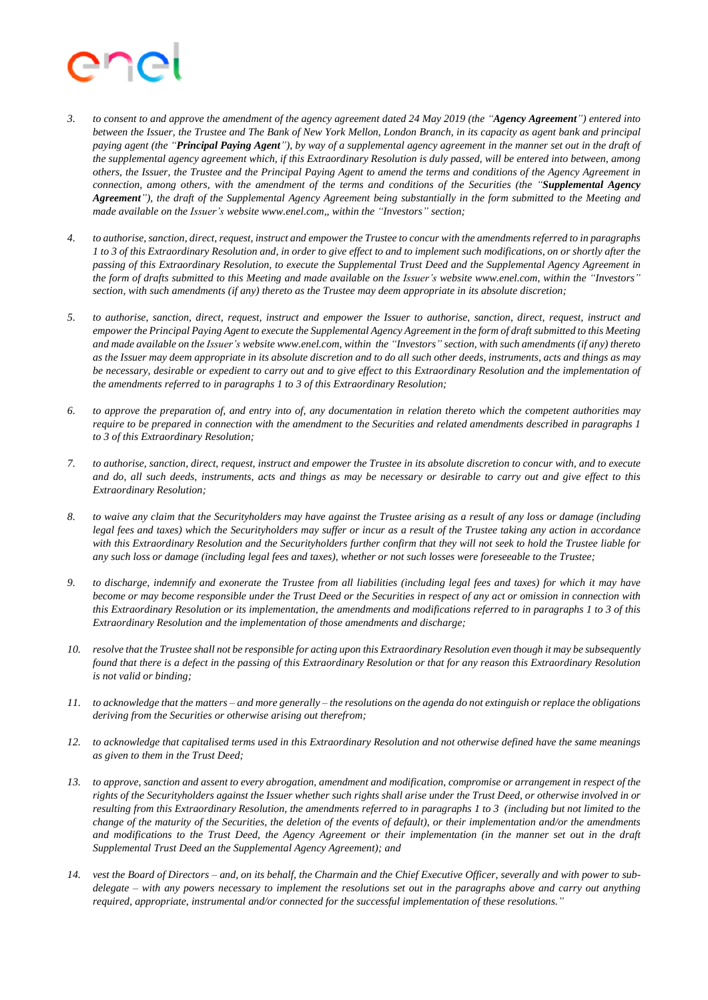

- 3. to consent to and approve the amendment of the agency agreement dated 24 May 2019 (the "Agency Agreement") entered into between the Issuer, the Trustee and The Bank of New York Mellon, London Branch, in its capacity as agent bank and principal paying agent (the "Principal Paying Agent"), by way of a supplemental agency agreement in the manner set out in the draft of the supplemental agency agreement which, if this Extraordinary Resolution is duly passed, will be entered into between, among others, the Issuer, the Trustee and the Principal Paying Agent to amend the terms and conditions of the Agency Agreement in connection, among others, with the amendment of the terms and conditions of the Securities (the "Supplemental Agency Agreement"), the draft of the Supplemental Agency Agreement being substantially in the form submitted to the Meeting and *made available on the Issuer's website www.enel.com,, within the "Investors" section;*
- 4. to authorise, sanction, direct, request, instruct and empower the Trustee to concur with the amendments referred to in paragraphs 1 to 3 of this Extraordinary Resolution and, in order to give effect to and to implement such modifications, on or shortly after the passing of this Extraordinary Resolution, to execute the Supplemental Trust Deed and the Supplemental Agency Agreement in the form of drafts submitted to this Meeting and made available on the Issuer's website www.enel.com, within the "Investors" section, with such amendments (if any) thereto as the Trustee may deem appropriate in its absolute discretion;
- 5. to authorise, sanction, direct, request, instruct and empower the Issuer to authorise, sanction, direct, request, instruct and empower the Principal Paying Agent to execute the Supplemental Agency Agreement in the form of draft submitted to this Meeting and made available on the Issuer's website www.enel.com, within the "Investors" section, with such amendments (if any) thereto as the Issuer may deem appropriate in its absolute discretion and to do all such other deeds, instruments, acts and things as may be necessary, desirable or expedient to carry out and to give effect to this Extraordinary Resolution and the implementation of *the amendments referred to in paragraphs 1 to 3 of this Extraordinary Resolution;*
- 6. to approve the preparation of, and entry into of, any documentation in relation thereto which the competent authorities may require to be prepared in connection with the amendment to the Securities and related amendments described in paragraphs 1 *to 3 of this Extraordinary Resolution;*
- 7. to authorise, sanction, direct, request, instruct and empower the Trustee in its absolute discretion to concur with, and to execute and do, all such deeds, instruments, acts and things as may be necessary or desirable to carry out and give effect to this *Extraordinary Resolution;*
- 8. to waive any claim that the Securityholders may have against the Trustee arising as a result of any loss or damage (including legal fees and taxes) which the Securityholders may suffer or incur as a result of the Trustee taking any action in accordance with this Extraordinary Resolution and the Securityholders further confirm that they will not seek to hold the Trustee liable for any such loss or damage (including legal fees and taxes), whether or not such losses were foreseeable to the Trustee;
- 9. to discharge, indemnify and exonerate the Trustee from all liabilities (including legal fees and taxes) for which it may have become or may become responsible under the Trust Deed or the Securities in respect of any act or omission in connection with this Extraordinary Resolution or its implementation, the amendments and modifications referred to in paragraphs 1 to 3 of this *Extraordinary Resolution and the implementation of those amendments and discharge;*
- 10. resolve that the Trustee shall not be responsible for acting upon this Extraordinary Resolution even though it may be subsequently found that there is a defect in the passing of this Extraordinary Resolution or that for any reason this Extraordinary Resolution *is not valid or binding;*
- 11. to acknowledge that the matters and more generally the resolutions on the agenda do not extinguish or replace the obligations *deriving from the Securities or otherwise arising out therefrom;*
- 12. to acknowledge that capitalised terms used in this Extraordinary Resolution and not otherwise defined have the same meanings *as given to them in the Trust Deed;*
- 13. to approve, sanction and assent to every abrogation, amendment and modification, compromise or arrangement in respect of the rights of the Securityholders against the Issuer whether such rights shall arise under the Trust Deed, or otherwise involved in or resulting from this Extraordinary Resolution, the amendments referred to in paragraphs 1 to 3 (including but not limited to the change of the maturity of the Securities, the deletion of the events of default), or their implementation and/or the amendments and modifications to the Trust Deed, the Agency Agreement or their implementation (in the manner set out in the draft *Supplemental Trust Deed an the Supplemental Agency Agreement); and*
- 14. vest the Board of Directors and, on its behalf, the Charmain and the Chief Executive Officer, severally and with power to subdelegate – with any powers necessary to implement the resolutions set out in the paragraphs above and carry out anything *required, appropriate, instrumental and/or connected for the successful implementation of these resolutions."*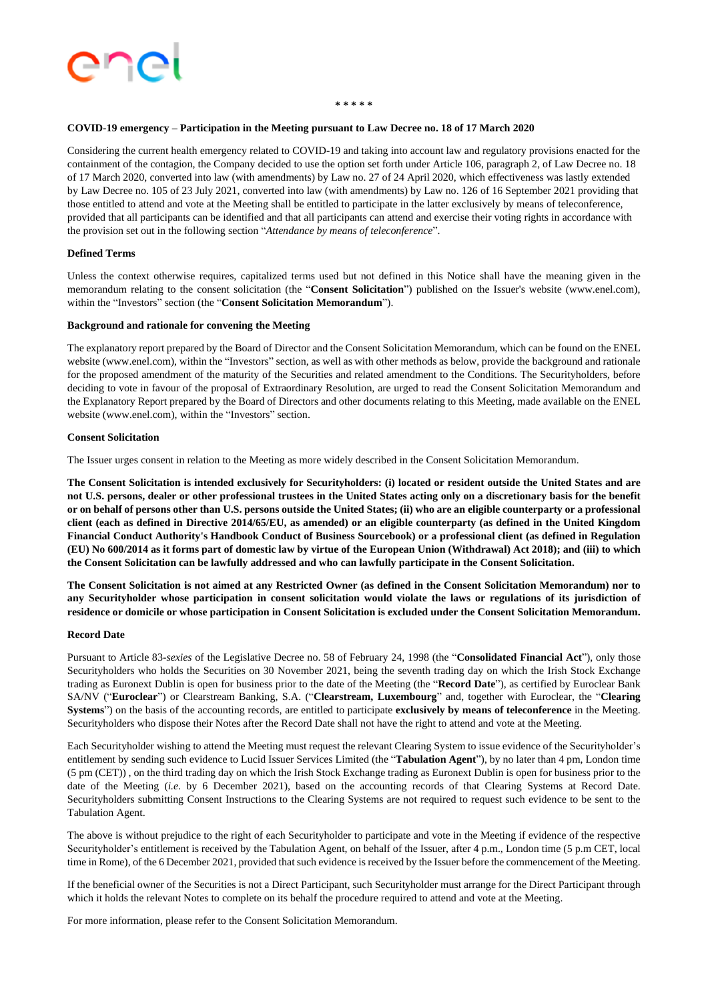

#### **\* \* \* \* \***

#### **COVID-19 emergency – Participation in the Meeting pursuant to Law Decree no. 18 of 17 March 2020**

Considering the current health emergency related to COVID-19 and taking into account law and regulatory provisions enacted for the containment of the contagion, the Company decided to use the option set forth under Article 106, paragraph 2, of Law Decree no. 18 of 17 March 2020, converted into law (with amendments) by Law no. 27 of 24 April 2020, which effectiveness was lastly extended by Law Decree no. 105 of 23 July 2021, converted into law (with amendments) by Law no. 126 of 16 September 2021 providing that those entitled to attend and vote at the Meeting shall be entitled to participate in the latter exclusively by means of teleconference, provided that all participants can be identified and that all participants can attend and exercise their voting rights in accordance with the provision set out in the following section "*Attendance by means of teleconference*".

# **Defined Terms**

Unless the context otherwise requires, capitalized terms used but not defined in this Notice shall have the meaning given in the memorandum relating to the consent solicitation (the "**Consent Solicitation**") published on the Issuer's website (www.enel.com), within the "Investors" section (the "**Consent Solicitation Memorandum**").

#### **Background and rationale for convening the Meeting**

The explanatory report prepared by the Board of Director and the Consent Solicitation Memorandum, which can be found on the ENEL website (www.enel.com), within the "Investors" section, as well as with other methods as below, provide the background and rationale for the proposed amendment of the maturity of the Securities and related amendment to the Conditions. The Securityholders, before deciding to vote in favour of the proposal of Extraordinary Resolution, are urged to read the Consent Solicitation Memorandum and the Explanatory Report prepared by the Board of Directors and other documents relating to this Meeting, made available on the ENEL website (www.enel.com), within the "Investors" section.

#### **Consent Solicitation**

The Issuer urges consent in relation to the Meeting as more widely described in the Consent Solicitation Memorandum.

The Consent Solicitation is intended exclusively for Securityholders: (i) located or resident outside the United States and are not U.S. persons, dealer or other professional trustees in the United States acting only on a discretionary basis for the benefit or on behalf of persons other than U.S. persons outside the United States; (ii) who are an eligible counterparty or a professional client (each as defined in Directive 2014/65/EU, as amended) or an eligible counterparty (as defined in the United Kingdom Financial Conduct Authority's Handbook Conduct of Business Sourcebook) or a professional client (as defined in Regulation (EU) No 600/2014 as it forms part of domestic law by virtue of the European Union (Withdrawal) Act 2018); and (iii) to which **the Consent Solicitation can be lawfully addressed and who can lawfully participate in the Consent Solicitation.**

The Consent Solicitation is not aimed at any Restricted Owner (as defined in the Consent Solicitation Memorandum) nor to any Securityholder whose participation in consent solicitation would violate the laws or regulations of its jurisdiction of residence or domicile or whose participation in Consent Solicitation is excluded under the Consent Solicitation Memorandum.

#### **Record Date**

Pursuant to Article 83-*sexies* of the Legislative Decree no. 58 of February 24, 1998 (the "**Consolidated Financial Act**"), only those Securityholders who holds the Securities on 30 November 2021, being the seventh trading day on which the Irish Stock Exchange trading as Euronext Dublin is open for business prior to the date of the Meeting (the "**Record Date**"), as certified by Euroclear Bank SA/NV ("**Euroclear**") or Clearstream Banking, S.A. ("**Clearstream, Luxembourg**" and, together with Euroclear, the "**Clearing Systems**") on the basis of the accounting records, are entitled to participate **exclusively by means of teleconference** in the Meeting. Securityholders who dispose their Notes after the Record Date shall not have the right to attend and vote at the Meeting.

Each Securityholder wishing to attend the Meeting must request the relevant Clearing System to issue evidence of the Securityholder's entitlement by sending such evidence to Lucid Issuer Services Limited (the "**Tabulation Agent**"), by no later than 4 pm, London time (5 pm (CET)) , on the third trading day on which the Irish Stock Exchange trading as Euronext Dublin is open for business prior to the date of the Meeting (*i.e.* by 6 December 2021), based on the accounting records of that Clearing Systems at Record Date. Securityholders submitting Consent Instructions to the Clearing Systems are not required to request such evidence to be sent to the Tabulation Agent.

The above is without prejudice to the right of each Securityholder to participate and vote in the Meeting if evidence of the respective Securityholder's entitlement is received by the Tabulation Agent, on behalf of the Issuer, after 4 p.m., London time (5 p.m CET, local time in Rome), of the 6 December 2021, provided thatsuch evidence is received by the Issuer before the commencement of the Meeting.

If the beneficial owner of the Securities is not a Direct Participant, such Securityholder must arrange for the Direct Participant through which it holds the relevant Notes to complete on its behalf the procedure required to attend and vote at the Meeting.

For more information, please refer to the Consent Solicitation Memorandum.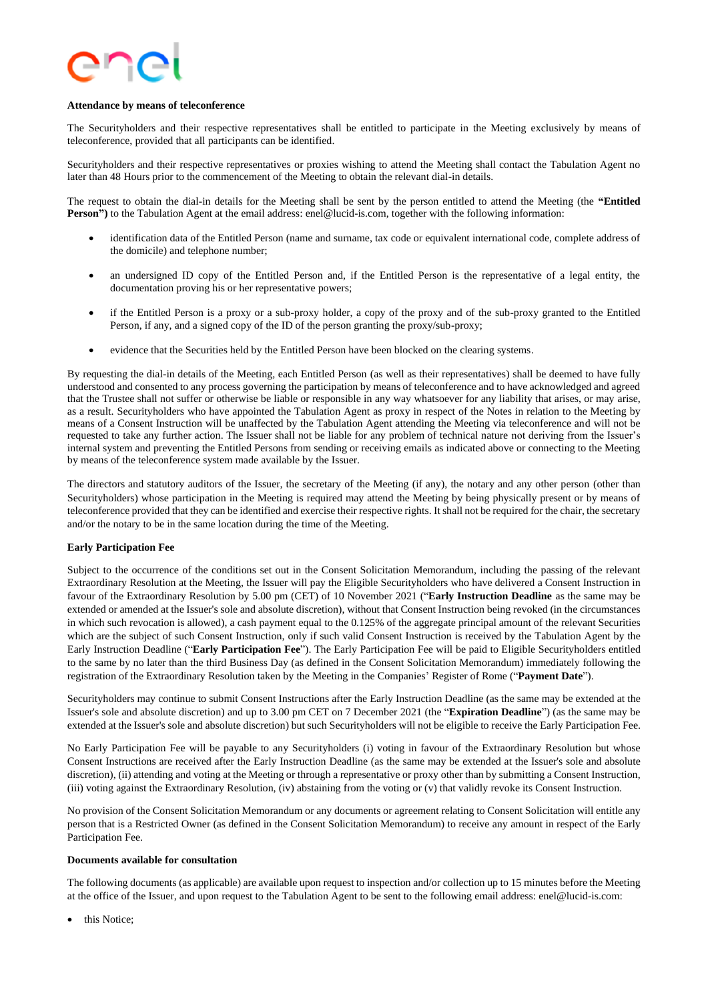

#### **Attendance by means of teleconference**

The Securityholders and their respective representatives shall be entitled to participate in the Meeting exclusively by means of teleconference, provided that all participants can be identified.

Securityholders and their respective representatives or proxies wishing to attend the Meeting shall contact the Tabulation Agent no later than 48 Hours prior to the commencement of the Meeting to obtain the relevant dial-in details.

The request to obtain the dial-in details for the Meeting shall be sent by the person entitled to attend the Meeting (the **"Entitled Person")** to the Tabulation Agent at the email address: enel@lucid-is.com, together with the following information:

- identification data of the Entitled Person (name and surname, tax code or equivalent international code, complete address of the domicile) and telephone number;
- an undersigned ID copy of the Entitled Person and, if the Entitled Person is the representative of a legal entity, the documentation proving his or her representative powers;
- if the Entitled Person is a proxy or a sub-proxy holder, a copy of the proxy and of the sub-proxy granted to the Entitled Person, if any, and a signed copy of the ID of the person granting the proxy/sub-proxy;
- evidence that the Securities held by the Entitled Person have been blocked on the clearing systems.

By requesting the dial-in details of the Meeting, each Entitled Person (as well as their representatives) shall be deemed to have fully understood and consented to any process governing the participation by means of teleconference and to have acknowledged and agreed that the Trustee shall not suffer or otherwise be liable or responsible in any way whatsoever for any liability that arises, or may arise, as a result. Securityholders who have appointed the Tabulation Agent as proxy in respect of the Notes in relation to the Meeting by means of a Consent Instruction will be unaffected by the Tabulation Agent attending the Meeting via teleconference and will not be requested to take any further action. The Issuer shall not be liable for any problem of technical nature not deriving from the Issuer's internal system and preventing the Entitled Persons from sending or receiving emails as indicated above or connecting to the Meeting by means of the teleconference system made available by the Issuer.

The directors and statutory auditors of the Issuer, the secretary of the Meeting (if any), the notary and any other person (other than Securityholders) whose participation in the Meeting is required may attend the Meeting by being physically present or by means of teleconference provided that they can be identified and exercise their respective rights. It shall not be required for the chair, the secretary and/or the notary to be in the same location during the time of the Meeting.

# **Early Participation Fee**

Subject to the occurrence of the conditions set out in the Consent Solicitation Memorandum, including the passing of the relevant Extraordinary Resolution at the Meeting, the Issuer will pay the Eligible Securityholders who have delivered a Consent Instruction in favour of the Extraordinary Resolution by 5.00 pm (CET) of 10 November 2021 ("**Early Instruction Deadline** as the same may be extended or amended at the Issuer's sole and absolute discretion), without that Consent Instruction being revoked (in the circumstances in which such revocation is allowed), a cash payment equal to the 0.125% of the aggregate principal amount of the relevant Securities which are the subject of such Consent Instruction, only if such valid Consent Instruction is received by the Tabulation Agent by the Early Instruction Deadline ("**Early Participation Fee**"). The Early Participation Fee will be paid to Eligible Securityholders entitled to the same by no later than the third Business Day (as defined in the Consent Solicitation Memorandum) immediately following the registration of the Extraordinary Resolution taken by the Meeting in the Companies' Register of Rome ("**Payment Date**").

Securityholders may continue to submit Consent Instructions after the Early Instruction Deadline (as the same may be extended at the Issuer's sole and absolute discretion) and up to 3.00 pm CET on 7 December 2021 (the "**Expiration Deadline**") (as the same may be extended at the Issuer's sole and absolute discretion) but such Securityholders will not be eligible to receive the Early Participation Fee.

No Early Participation Fee will be payable to any Securityholders (i) voting in favour of the Extraordinary Resolution but whose Consent Instructions are received after the Early Instruction Deadline (as the same may be extended at the Issuer's sole and absolute discretion), (ii) attending and voting at the Meeting or through a representative or proxy other than by submitting a Consent Instruction, (iii) voting against the Extraordinary Resolution, (iv) abstaining from the voting or (v) that validly revoke its Consent Instruction.

No provision of the Consent Solicitation Memorandum or any documents or agreement relating to Consent Solicitation will entitle any person that is a Restricted Owner (as defined in the Consent Solicitation Memorandum) to receive any amount in respect of the Early Participation Fee.

#### **Documents available for consultation**

The following documents (as applicable) are available upon request to inspection and/or collection up to 15 minutes before the Meeting at the office of the Issuer, and upon request to the Tabulation Agent to be sent to the following email address: enel@lucid-is.com:

this Notice: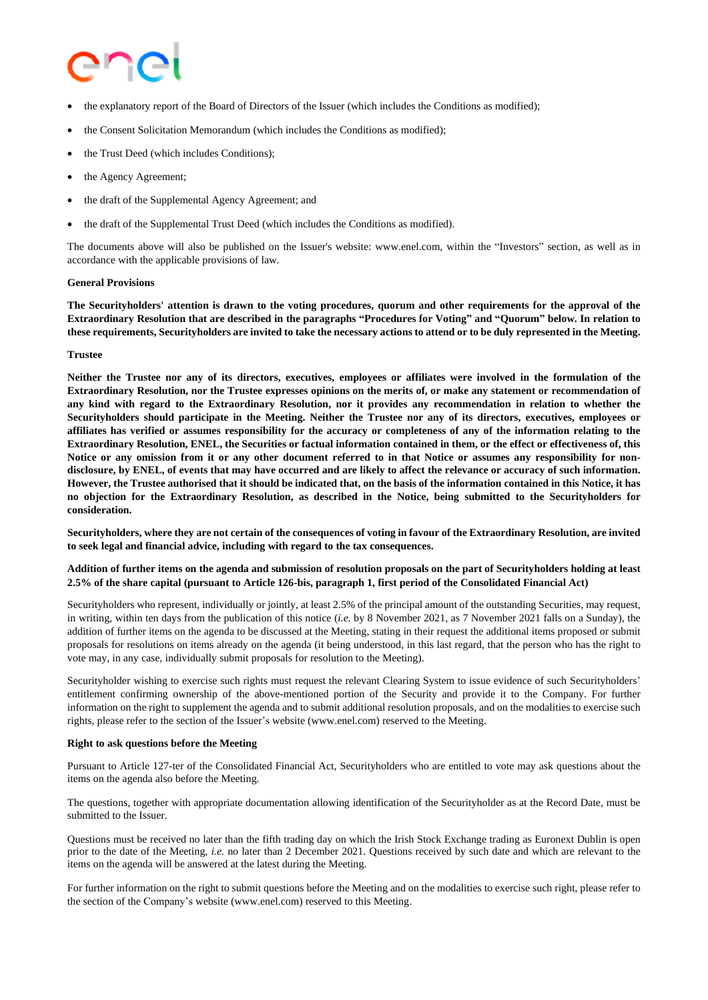- the explanatory report of the Board of Directors of the Issuer (which includes the Conditions as modified);
- the Consent Solicitation Memorandum (which includes the Conditions as modified);
- the Trust Deed (which includes Conditions):
- the Agency Agreement;
- the draft of the Supplemental Agency Agreement; and
- the draft of the Supplemental Trust Deed (which includes the Conditions as modified).

The documents above will also be published on the Issuer's website: www.enel.com, within the "Investors" section, as well as in accordance with the applicable provisions of law.

#### **General Provisions**

The Securityholders' attention is drawn to the voting procedures, quorum and other requirements for the approval of the Extraordinary Resolution that are described in the paragraphs "Procedures for Voting" and "Quorum" below. In relation to these requirements, Securityholders are invited to take the necessary actions to attend or to be duly represented in the Meeting.

#### **Trustee**

Neither the Trustee nor any of its directors, executives, employees or affiliates were involved in the formulation of the Extraordinary Resolution, nor the Trustee expresses opinions on the merits of, or make any statement or recommendation of any kind with regard to the Extraordinary Resolution, nor it provides any recommendation in relation to whether the Securityholders should participate in the Meeting. Neither the Trustee nor any of its directors, executives, employees or affiliates has verified or assumes responsibility for the accuracy or completeness of any of the information relating to the Extraordinary Resolution, ENEL, the Securities or factual information contained in them, or the effect or effectiveness of, this Notice or any omission from it or any other document referred to in that Notice or assumes any responsibility for nondisclosure, by ENEL, of events that may have occurred and are likely to affect the relevance or accuracy of such information. However, the Trustee authorised that it should be indicated that, on the basis of the information contained in this Notice, it has no objection for the Extraordinary Resolution, as described in the Notice, being submitted to the Securityholders for **consideration.**

Securityholders, where they are not certain of the consequences of voting in favour of the Extraordinary Resolution, are invited **to seek legal and financial advice, including with regard to the tax consequences.**

# Addition of further items on the agenda and submission of resolution proposals on the part of Securityholders holding at least 2.5% of the share capital (pursuant to Article 126-bis, paragraph 1, first period of the Consolidated Financial Act)

Securityholders who represent, individually or jointly, at least 2.5% of the principal amount of the outstanding Securities, may request, in writing, within ten days from the publication of this notice (*i.e.* by 8 November 2021, as 7 November 2021 falls on a Sunday), the addition of further items on the agenda to be discussed at the Meeting, stating in their request the additional items proposed or submit proposals for resolutions on items already on the agenda (it being understood, in this last regard, that the person who has the right to vote may, in any case, individually submit proposals for resolution to the Meeting).

Securityholder wishing to exercise such rights must request the relevant Clearing System to issue evidence of such Securityholders' entitlement confirming ownership of the above-mentioned portion of the Security and provide it to the Company. For further information on the right to supplement the agenda and to submit additional resolution proposals, and on the modalities to exercise such rights, please refer to the section of the Issuer's website (www.enel.com) reserved to the Meeting.

# **Right to ask questions before the Meeting**

Pursuant to Article 127-ter of the Consolidated Financial Act, Securityholders who are entitled to vote may ask questions about the items on the agenda also before the Meeting.

The questions, together with appropriate documentation allowing identification of the Securityholder as at the Record Date, must be submitted to the Issuer.

Questions must be received no later than the fifth trading day on which the Irish Stock Exchange trading as Euronext Dublin is open prior to the date of the Meeting, *i.e.* no later than 2 December 2021. Questions received by such date and which are relevant to the items on the agenda will be answered at the latest during the Meeting.

For further information on the right to submit questions before the Meeting and on the modalities to exercise such right, please refer to the section of the Company's website (www.enel.com) reserved to this Meeting.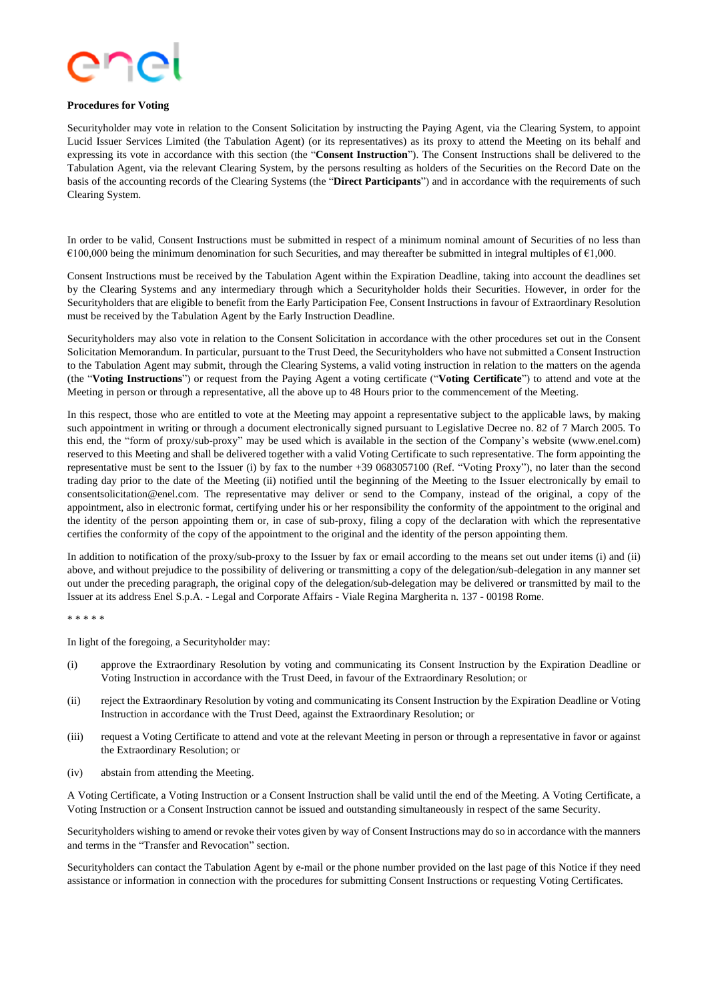

#### **Procedures for Voting**

Securityholder may vote in relation to the Consent Solicitation by instructing the Paying Agent, via the Clearing System, to appoint Lucid Issuer Services Limited (the Tabulation Agent) (or its representatives) as its proxy to attend the Meeting on its behalf and expressing its vote in accordance with this section (the "**Consent Instruction**"). The Consent Instructions shall be delivered to the Tabulation Agent, via the relevant Clearing System, by the persons resulting as holders of the Securities on the Record Date on the basis of the accounting records of the Clearing Systems (the "**Direct Participants**") and in accordance with the requirements of such Clearing System.

In order to be valid, Consent Instructions must be submitted in respect of a minimum nominal amount of Securities of no less than €100,000 being the minimum denomination for such Securities, and may thereafter be submitted in integral multiples of €1,000.

Consent Instructions must be received by the Tabulation Agent within the Expiration Deadline, taking into account the deadlines set by the Clearing Systems and any intermediary through which a Securityholder holds their Securities. However, in order for the Securityholders that are eligible to benefit from the Early Participation Fee, Consent Instructions in favour of Extraordinary Resolution must be received by the Tabulation Agent by the Early Instruction Deadline.

Securityholders may also vote in relation to the Consent Solicitation in accordance with the other procedures set out in the Consent Solicitation Memorandum. In particular, pursuant to the Trust Deed, the Securityholders who have not submitted a Consent Instruction to the Tabulation Agent may submit, through the Clearing Systems, a valid voting instruction in relation to the matters on the agenda (the "**Voting Instructions**") or request from the Paying Agent a voting certificate ("**Voting Certificate**") to attend and vote at the Meeting in person or through a representative, all the above up to 48 Hours prior to the commencement of the Meeting.

In this respect, those who are entitled to vote at the Meeting may appoint a representative subject to the applicable laws, by making such appointment in writing or through a document electronically signed pursuant to Legislative Decree no. 82 of 7 March 2005. To this end, the "form of proxy/sub-proxy" may be used which is available in the section of the Company's website (www.enel.com) reserved to this Meeting and shall be delivered together with a valid Voting Certificate to such representative. The form appointing the representative must be sent to the Issuer (i) by fax to the number +39 0683057100 (Ref. "Voting Proxy"), no later than the second trading day prior to the date of the Meeting (ii) notified until the beginning of the Meeting to the Issuer electronically by email to consentsolicitation@enel.com. The representative may deliver or send to the Company, instead of the original, a copy of the appointment, also in electronic format, certifying under his or her responsibility the conformity of the appointment to the original and the identity of the person appointing them or, in case of sub-proxy, filing a copy of the declaration with which the representative certifies the conformity of the copy of the appointment to the original and the identity of the person appointing them.

In addition to notification of the proxy/sub-proxy to the Issuer by fax or email according to the means set out under items (i) and (ii) above, and without prejudice to the possibility of delivering or transmitting a copy of the delegation/sub-delegation in any manner set out under the preceding paragraph, the original copy of the delegation/sub-delegation may be delivered or transmitted by mail to the Issuer at its address Enel S.p.A. - Legal and Corporate Affairs - Viale Regina Margherita n. 137 - 00198 Rome.

#### \* \* \* \* \*

In light of the foregoing, a Securityholder may:

- (i) approve the Extraordinary Resolution by voting and communicating its Consent Instruction by the Expiration Deadline or Voting Instruction in accordance with the Trust Deed, in favour of the Extraordinary Resolution; or
- (ii) reject the Extraordinary Resolution by voting and communicating its Consent Instruction by the Expiration Deadline or Voting Instruction in accordance with the Trust Deed, against the Extraordinary Resolution; or
- (iii) request a Voting Certificate to attend and vote at the relevant Meeting in person or through a representative in favor or against the Extraordinary Resolution; or
- (iv) abstain from attending the Meeting.

A Voting Certificate, a Voting Instruction or a Consent Instruction shall be valid until the end of the Meeting. A Voting Certificate, a Voting Instruction or a Consent Instruction cannot be issued and outstanding simultaneously in respect of the same Security.

Securityholders wishing to amend or revoke their votes given by way of Consent Instructions may do so in accordance with the manners and terms in the "Transfer and Revocation" section.

Securityholders can contact the Tabulation Agent by e-mail or the phone number provided on the last page of this Notice if they need assistance or information in connection with the procedures for submitting Consent Instructions or requesting Voting Certificates.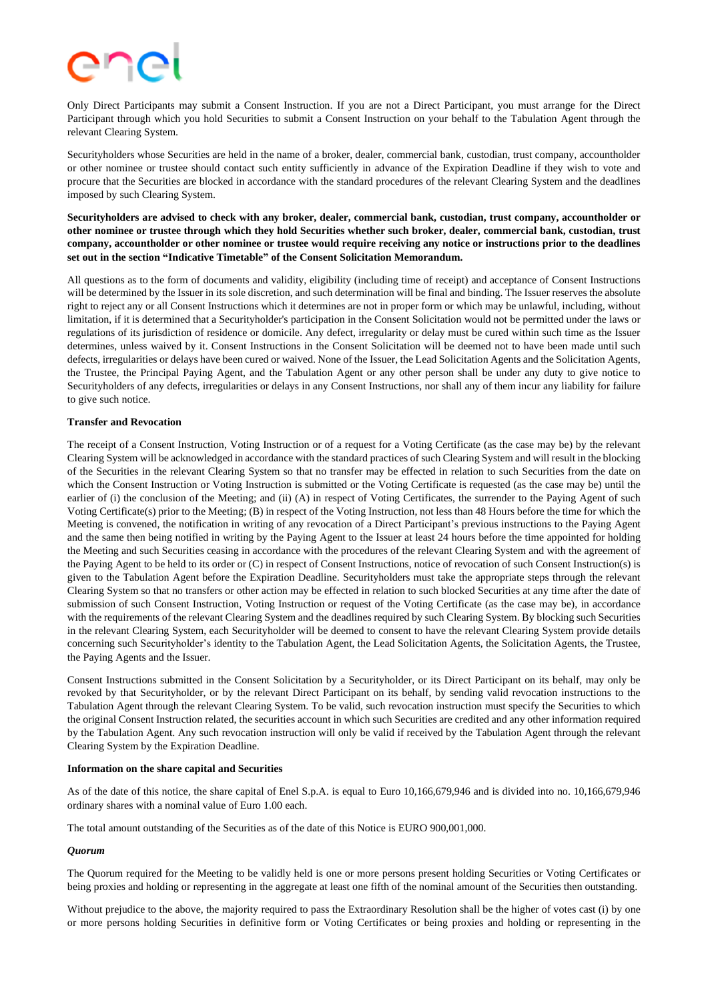Only Direct Participants may submit a Consent Instruction. If you are not a Direct Participant, you must arrange for the Direct Participant through which you hold Securities to submit a Consent Instruction on your behalf to the Tabulation Agent through the relevant Clearing System.

Securityholders whose Securities are held in the name of a broker, dealer, commercial bank, custodian, trust company, accountholder or other nominee or trustee should contact such entity sufficiently in advance of the Expiration Deadline if they wish to vote and procure that the Securities are blocked in accordance with the standard procedures of the relevant Clearing System and the deadlines imposed by such Clearing System.

Securityholders are advised to check with any broker, dealer, commercial bank, custodian, trust company, accountholder or other nominee or trustee through which they hold Securities whether such broker, dealer, commercial bank, custodian, trust company, accountholder or other nominee or trustee would require receiving any notice or instructions prior to the deadlines **set out in the section "Indicative Timetable" of the Consent Solicitation Memorandum.**

All questions as to the form of documents and validity, eligibility (including time of receipt) and acceptance of Consent Instructions will be determined by the Issuer in its sole discretion, and such determination will be final and binding. The Issuer reserves the absolute right to reject any or all Consent Instructions which it determines are not in proper form or which may be unlawful, including, without limitation, if it is determined that a Securityholder's participation in the Consent Solicitation would not be permitted under the laws or regulations of its jurisdiction of residence or domicile. Any defect, irregularity or delay must be cured within such time as the Issuer determines, unless waived by it. Consent Instructions in the Consent Solicitation will be deemed not to have been made until such defects, irregularities or delays have been cured or waived. None of the Issuer, the Lead Solicitation Agents and the Solicitation Agents, the Trustee, the Principal Paying Agent, and the Tabulation Agent or any other person shall be under any duty to give notice to Securityholders of any defects, irregularities or delays in any Consent Instructions, nor shall any of them incur any liability for failure to give such notice.

# **Transfer and Revocation**

The receipt of a Consent Instruction, Voting Instruction or of a request for a Voting Certificate (as the case may be) by the relevant Clearing System will be acknowledged in accordance with the standard practices of such Clearing System and will result in the blocking of the Securities in the relevant Clearing System so that no transfer may be effected in relation to such Securities from the date on which the Consent Instruction or Voting Instruction is submitted or the Voting Certificate is requested (as the case may be) until the earlier of (i) the conclusion of the Meeting; and (ii) (A) in respect of Voting Certificates, the surrender to the Paying Agent of such Voting Certificate(s) prior to the Meeting; (B) in respect of the Voting Instruction, not less than 48 Hours before the time for which the Meeting is convened, the notification in writing of any revocation of a Direct Participant's previous instructions to the Paying Agent and the same then being notified in writing by the Paying Agent to the Issuer at least 24 hours before the time appointed for holding the Meeting and such Securities ceasing in accordance with the procedures of the relevant Clearing System and with the agreement of the Paying Agent to be held to its order or (C) in respect of Consent Instructions, notice of revocation of such Consent Instruction(s) is given to the Tabulation Agent before the Expiration Deadline. Securityholders must take the appropriate steps through the relevant Clearing System so that no transfers or other action may be effected in relation to such blocked Securities at any time after the date of submission of such Consent Instruction, Voting Instruction or request of the Voting Certificate (as the case may be), in accordance with the requirements of the relevant Clearing System and the deadlines required by such Clearing System. By blocking such Securities in the relevant Clearing System, each Securityholder will be deemed to consent to have the relevant Clearing System provide details concerning such Securityholder's identity to the Tabulation Agent, the Lead Solicitation Agents, the Solicitation Agents, the Trustee, the Paying Agents and the Issuer.

Consent Instructions submitted in the Consent Solicitation by a Securityholder, or its Direct Participant on its behalf, may only be revoked by that Securityholder, or by the relevant Direct Participant on its behalf, by sending valid revocation instructions to the Tabulation Agent through the relevant Clearing System. To be valid, such revocation instruction must specify the Securities to which the original Consent Instruction related, the securities account in which such Securities are credited and any other information required by the Tabulation Agent. Any such revocation instruction will only be valid if received by the Tabulation Agent through the relevant Clearing System by the Expiration Deadline.

#### **Information on the share capital and Securities**

As of the date of this notice, the share capital of Enel S.p.A. is equal to Euro 10,166,679,946 and is divided into no. 10,166,679,946 ordinary shares with a nominal value of Euro 1.00 each.

The total amount outstanding of the Securities as of the date of this Notice is EURO 900,001,000.

# *Quorum*

The Quorum required for the Meeting to be validly held is one or more persons present holding Securities or Voting Certificates or being proxies and holding or representing in the aggregate at least one fifth of the nominal amount of the Securities then outstanding.

Without prejudice to the above, the majority required to pass the Extraordinary Resolution shall be the higher of votes cast (i) by one or more persons holding Securities in definitive form or Voting Certificates or being proxies and holding or representing in the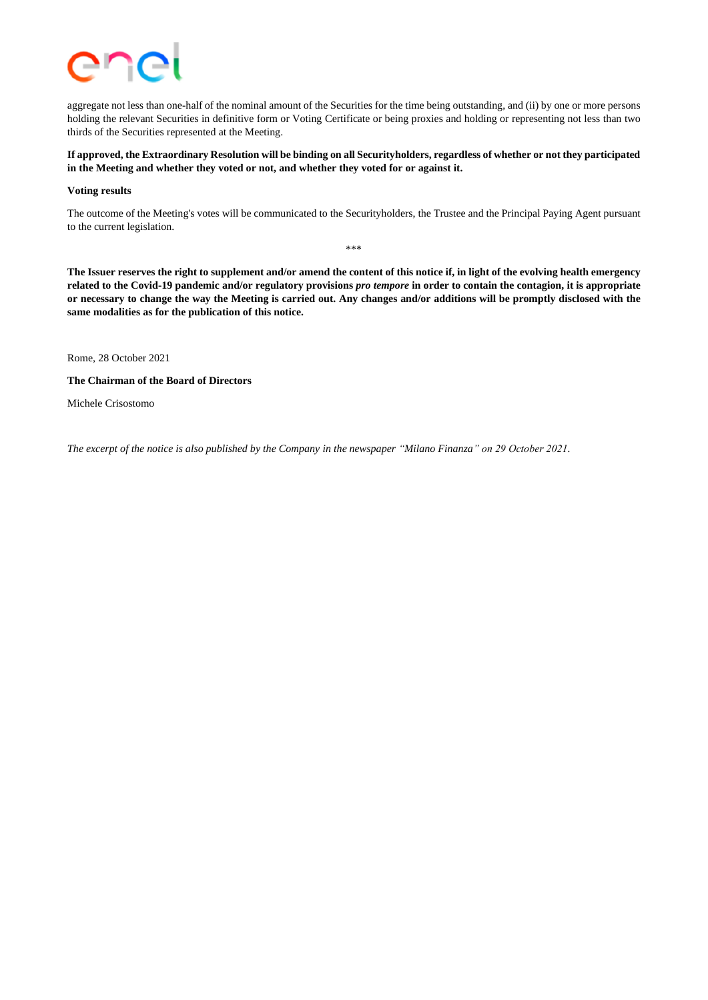

aggregate not less than one-half of the nominal amount of the Securities for the time being outstanding, and (ii) by one or more persons holding the relevant Securities in definitive form or Voting Certificate or being proxies and holding or representing not less than two thirds of the Securities represented at the Meeting.

# If approved, the Extraordinary Resolution will be binding on all Securityholders, regardless of whether or not they participated **in the Meeting and whether they voted or not, and whether they voted for or against it.**

#### **Voting results**

The outcome of the Meeting's votes will be communicated to the Securityholders, the Trustee and the Principal Paying Agent pursuant to the current legislation.

\*\*\*

The Issuer reserves the right to supplement and/or amend the content of this notice if, in light of the evolving health emergency related to the Covid-19 pandemic and/or regulatory provisions pro tempore in order to contain the contagion, it is appropriate or necessary to change the way the Meeting is carried out. Any changes and/or additions will be promptly disclosed with the **same modalities as for the publication of this notice.**

Rome, 28 October 2021

**The Chairman of the Board of Directors**

Michele Crisostomo

*The excerpt of the notice is also published by the Company in the newspaper "Milano Finanza" on 29 October 2021.*